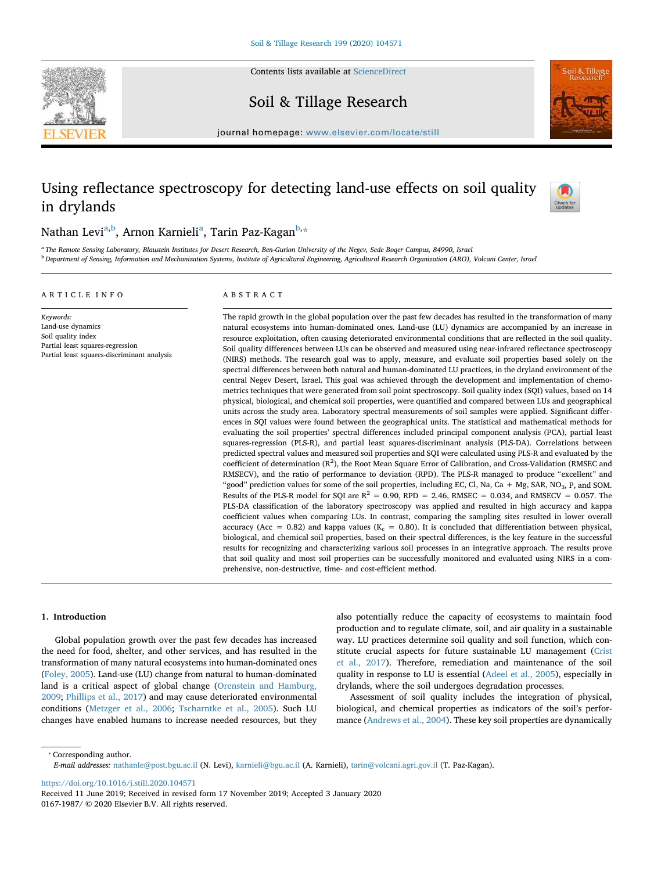Contents lists available at [ScienceDirect](http://www.sciencedirect.com/science/journal/01671987)



Soil & Tillage Research

journal homepage: [www.elsevier.com/locate/still](https://www.elsevier.com/locate/still)

# Using reflectance spectroscopy for detecting land-use effects on soil quality in drylands



## Nathan Levi<sup>[a,](#page-0-0)[b](#page-0-1)</sup>, Arnon K[a](#page-0-0)rnieli<sup>a</sup>, Tarin Paz-Kagan<sup>b,</sup>[\\*](#page-0-2)

<span id="page-0-1"></span><span id="page-0-0"></span><sup>a</sup> *The Remote Sensing Laboratory, Blaustein Institutes for Desert Research, Ben-Gurion University of the Negev, Sede Boqer Campus, 84990, Israel* <sup>b</sup> *Department of Sensing, Information and Mechanization Systems, Institute of Agricultural Engineering, Agricultural Research Organization (ARO), Volcani Center, Israel*

## ARTICLE INFO

## ABSTRACT

*Keywords:* Land-use dynamics Soil quality index Partial least squares-regression Partial least squares-discriminant analysis The rapid growth in the global population over the past few decades has resulted in the transformation of many natural ecosystems into human-dominated ones. Land-use (LU) dynamics are accompanied by an increase in resource exploitation, often causing deteriorated environmental conditions that are reflected in the soil quality. Soil quality differences between LUs can be observed and measured using near-infrared reflectance spectroscopy (NIRS) methods. The research goal was to apply, measure, and evaluate soil properties based solely on the spectral differences between both natural and human-dominated LU practices, in the dryland environment of the central Negev Desert, Israel. This goal was achieved through the development and implementation of chemometrics techniques that were generated from soil point spectroscopy. Soil quality index (SQI) values, based on 14 physical, biological, and chemical soil properties, were quantified and compared between LUs and geographical units across the study area. Laboratory spectral measurements of soil samples were applied. Significant differences in SQI values were found between the geographical units. The statistical and mathematical methods for evaluating the soil properties' spectral differences included principal component analysis (PCA), partial least squares-regression (PLS-R), and partial least squares-discriminant analysis (PLS-DA). Correlations between predicted spectral values and measured soil properties and SQI were calculated using PLS-R and evaluated by the coefficient of determination  $(R^2)$ , the Root Mean Square Error of Calibration, and Cross-Validation (RMSEC and RMSECV), and the ratio of performance to deviation (RPD). The PLS-R managed to produce "excellent" and "good" prediction values for some of the soil properties, including EC, Cl, Na, Ca + Mg, SAR, NO<sub>3</sub>, P, and SOM. Results of the PLS-R model for SQI are  $R^2 = 0.90$ , RPD = 2.46, RMSEC = 0.034, and RMSECV = 0.057. The PLS-DA classification of the laboratory spectroscopy was applied and resulted in high accuracy and kappa coefficient values when comparing LUs. In contrast, comparing the sampling sites resulted in lower overall accuracy (Acc = 0.82) and kappa values ( $K_c$  = 0.80). It is concluded that differentiation between physical, biological, and chemical soil properties, based on their spectral differences, is the key feature in the successful results for recognizing and characterizing various soil processes in an integrative approach. The results prove that soil quality and most soil properties can be successfully monitored and evaluated using NIRS in a comprehensive, non-destructive, time- and cost-efficient method.

## **1. Introduction**

Global population growth over the past few decades has increased the need for food, shelter, and other services, and has resulted in the transformation of many natural ecosystems into human-dominated ones ([Foley, 2005](#page-12-0)). Land-use (LU) change from natural to human-dominated land is a critical aspect of global change [\(Orenstein and Hamburg,](#page-13-0) [2009;](#page-13-0) [Phillips et al., 2017](#page-13-1)) and may cause deteriorated environmental conditions [\(Metzger et al., 2006;](#page-13-2) [Tscharntke et al., 2005\)](#page-13-3). Such LU changes have enabled humans to increase needed resources, but they

also potentially reduce the capacity of ecosystems to maintain food production and to regulate climate, soil, and air quality in a sustainable way. LU practices determine soil quality and soil function, which constitute crucial aspects for future sustainable LU management [\(Crist](#page-12-1) [et al., 2017\)](#page-12-1). Therefore, remediation and maintenance of the soil quality in response to LU is essential ([Adeel et al., 2005\)](#page-12-2), especially in drylands, where the soil undergoes degradation processes.

Assessment of soil quality includes the integration of physical, biological, and chemical properties as indicators of the soil's performance [\(Andrews et al., 2004](#page-12-3)). These key soil properties are dynamically

<span id="page-0-2"></span>⁎ Corresponding author.

*E-mail addresses:* [nathanle@post.bgu.ac.il](mailto:nathanle@post.bgu.ac.il) (N. Levi), [karnieli@bgu.ac.il](mailto:karnieli@bgu.ac.il) (A. Karnieli), [tarin@volcani.agri.gov.il](mailto:tarin@volcani.agri.gov.il) (T. Paz-Kagan).

<https://doi.org/10.1016/j.still.2020.104571>

Received 11 June 2019; Received in revised form 17 November 2019; Accepted 3 January 2020 0167-1987/ © 2020 Elsevier B.V. All rights reserved.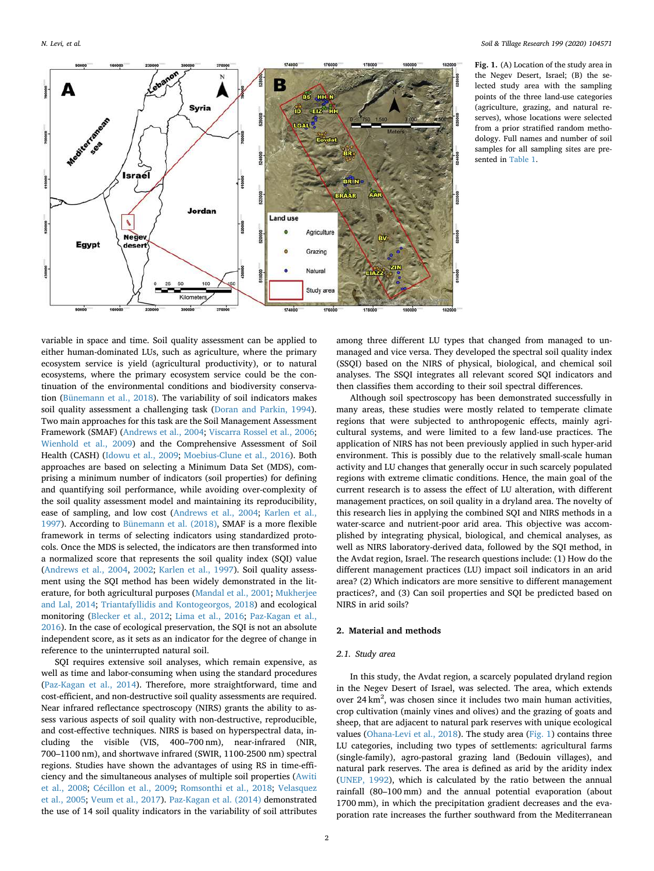<span id="page-1-0"></span>

**Fig. 1.** (A) Location of the study area in the Negev Desert, Israel; (B) the selected study area with the sampling points of the three land-use categories (agriculture, grazing, and natural reserves), whose locations were selected from a prior stratified random methodology. Full names and number of soil samples for all sampling sites are presented in [Table 1](#page-2-0).

variable in space and time. Soil quality assessment can be applied to either human-dominated LUs, such as agriculture, where the primary ecosystem service is yield (agricultural productivity), or to natural ecosystems, where the primary ecosystem service could be the continuation of the environmental conditions and biodiversity conservation ([Bünemann et al., 2018\)](#page-12-4). The variability of soil indicators makes soil quality assessment a challenging task [\(Doran and Parkin, 1994](#page-12-5)). Two main approaches for this task are the Soil Management Assessment Framework (SMAF) [\(Andrews et al., 2004;](#page-12-3) [Viscarra Rossel et al., 2006](#page-13-4); [Wienhold et al., 2009](#page-13-5)) and the Comprehensive Assessment of Soil Health (CASH) [\(Idowu et al., 2009](#page-12-6); [Moebius-Clune et al., 2016](#page-13-6)). Both approaches are based on selecting a Minimum Data Set (MDS), comprising a minimum number of indicators (soil properties) for defining and quantifying soil performance, while avoiding over-complexity of the soil quality assessment model and maintaining its reproducibility, ease of sampling, and low cost [\(Andrews et al., 2004](#page-12-3); [Karlen et al.,](#page-12-7) [1997\)](#page-12-7). According to [Bünemann et al. \(2018\),](#page-12-4) SMAF is a more flexible framework in terms of selecting indicators using standardized protocols. Once the MDS is selected, the indicators are then transformed into a normalized score that represents the soil quality index (SQI) value ([Andrews et al., 2004](#page-12-3), [2002;](#page-12-8) [Karlen et al., 1997\)](#page-12-7). Soil quality assessment using the SQI method has been widely demonstrated in the literature, for both agricultural purposes ([Mandal et al., 2001;](#page-13-7) [Mukherjee](#page-13-8) [and Lal, 2014](#page-13-8); [Triantafyllidis and Kontogeorgos, 2018\)](#page-13-9) and ecological monitoring [\(Blecker et al., 2012](#page-12-9); [Lima et al., 2016](#page-13-10); [Paz-Kagan et al.,](#page-13-11) [2016\)](#page-13-11). In the case of ecological preservation, the SQI is not an absolute independent score, as it sets as an indicator for the degree of change in reference to the uninterrupted natural soil.

SQI requires extensive soil analyses, which remain expensive, as well as time and labor-consuming when using the standard procedures ([Paz-Kagan et al., 2014](#page-13-12)). Therefore, more straightforward, time and cost-efficient, and non-destructive soil quality assessments are required. Near infrared reflectance spectroscopy (NIRS) grants the ability to assess various aspects of soil quality with non-destructive, reproducible, and cost-effective techniques. NIRS is based on hyperspectral data, including the visible (VIS, 400–700 nm), near-infrared (NIR, 700–1100 nm), and shortwave infrared (SWIR, 1100-2500 nm) spectral regions. Studies have shown the advantages of using RS in time-efficiency and the simultaneous analyses of multiple soil properties ([Awiti](#page-12-10) [et al., 2008;](#page-12-10) [Cécillon et al., 2009](#page-12-11); [Romsonthi et al., 2018;](#page-13-13) [Velasquez](#page-13-14) [et al., 2005](#page-13-14); [Veum et al., 2017](#page-13-15)). [Paz-Kagan et al. \(2014\)](#page-13-12) demonstrated the use of 14 soil quality indicators in the variability of soil attributes among three different LU types that changed from managed to unmanaged and vice versa. They developed the spectral soil quality index (SSQI) based on the NIRS of physical, biological, and chemical soil analyses. The SSQI integrates all relevant scored SQI indicators and then classifies them according to their soil spectral differences.

Although soil spectroscopy has been demonstrated successfully in many areas, these studies were mostly related to temperate climate regions that were subjected to anthropogenic effects, mainly agricultural systems, and were limited to a few land-use practices. The application of NIRS has not been previously applied in such hyper-arid environment. This is possibly due to the relatively small-scale human activity and LU changes that generally occur in such scarcely populated regions with extreme climatic conditions. Hence, the main goal of the current research is to assess the effect of LU alteration, with different management practices, on soil quality in a dryland area. The novelty of this research lies in applying the combined SQI and NIRS methods in a water-scarce and nutrient-poor arid area. This objective was accomplished by integrating physical, biological, and chemical analyses, as well as NIRS laboratory-derived data, followed by the SQI method, in the Avdat region, Israel. The research questions include: (1) How do the different management practices (LU) impact soil indicators in an arid area? (2) Which indicators are more sensitive to different management practices?, and (3) Can soil properties and SQI be predicted based on NIRS in arid soils?

## **2. Material and methods**

## *2.1. Study area*

In this study, the Avdat region, a scarcely populated dryland region in the Negev Desert of Israel, was selected. The area, which extends over 24 km<sup>2</sup>, was chosen since it includes two main human activities, crop cultivation (mainly vines and olives) and the grazing of goats and sheep, that are adjacent to natural park reserves with unique ecological values [\(Ohana-Levi et al., 2018](#page-13-16)). The study area [\(Fig. 1](#page-1-0)) contains three LU categories, including two types of settlements: agricultural farms (single-family), agro-pastoral grazing land (Bedouin villages), and natural park reserves. The area is defined as arid by the aridity index ([UNEP, 1992](#page-13-17)), which is calculated by the ratio between the annual rainfall (80–100 mm) and the annual potential evaporation (about 1700 mm), in which the precipitation gradient decreases and the evaporation rate increases the further southward from the Mediterranean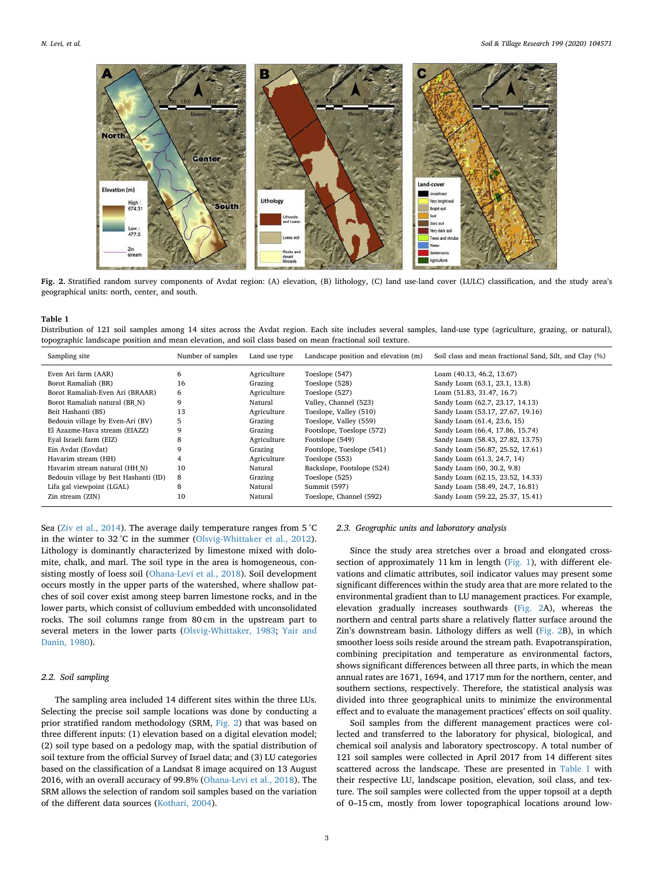<span id="page-2-1"></span>

**Fig. 2.** Stratified random survey components of Avdat region: (A) elevation, (B) lithology, (C) land use-land cover (LULC) classification, and the study area's geographical units: north, center, and south.

<span id="page-2-0"></span>Distribution of 121 soil samples among 14 sites across the Avdat region. Each site includes several samples, land-use type (agriculture, grazing, or natural), topographic landscape position and mean elevation, and soil class based on mean fractional soil texture.

| Sampling site                         | Number of samples | Land use type | Landscape position and elevation (m) | Soil class and mean fractional Sand, Silt, and Clay (%) |
|---------------------------------------|-------------------|---------------|--------------------------------------|---------------------------------------------------------|
| Even Ari farm (AAR)                   | 6                 | Agriculture   | Toeslope (547)                       | Loam (40.13, 46.2, 13.67)                               |
| Borot Ramaliah (BR)                   | 16                | Grazing       | Toeslope (528)                       | Sandy Loam (63.1, 23.1, 13.8)                           |
| Borot Ramaliah-Even Ari (BRAAR)       | 6                 | Agriculture   | Toeslope (527)                       | Loam (51.83, 31.47, 16.7)                               |
| Borot Ramaliah natural (BR N)         | 9                 | Natural       | Valley, Channel (523)                | Sandy Loam (62.7, 23.17, 14.13)                         |
| Beit Hashanti (BS)                    | 13                | Agriculture   | Toeslope, Valley (510)               | Sandy Loam (53.17, 27.67, 19.16)                        |
| Bedouin village by Even-Ari (BV)      | 5                 | Grazing       | Toeslope, Valley (559)               | Sandy Loam (61.4, 23.6, 15)                             |
| El Azazme-Hava stream (EIAZZ)         | 9                 | Grazing       | Footslope, Toeslope (572)            | Sandy Loam (66.4, 17.86, 15.74)                         |
| Eyal Israeli farm (EIZ)               | 8                 | Agriculture   | Footslope (549)                      | Sandy Loam (58.43, 27.82, 13.75)                        |
| Ein Avdat (Eovdat)                    |                   | Grazing       | Footslope, Toeslope (541)            | Sandy Loam (56.87, 25.52, 17.61)                        |
| Havarim stream (HH)                   |                   | Agriculture   | Toeslope (553)                       | Sandy Loam (61.3, 24.7, 14)                             |
| Havarim stream natural (HH N)         | 10                | Natural       | Backslope, Footslope (524)           | Sandy Loam (60, 30.2, 9.8)                              |
| Bedouin village by Beit Hashanti (ID) | 8                 | Grazing       | Toeslope (525)                       | Sandy Loam (62.15, 23.52, 14.33)                        |
| Lifa gal viewpoint (LGAL)             | 8                 | Natural       | Summit (597)                         | Sandy Loam (58.49, 24.7, 16.81)                         |
| Zin stream (ZIN)                      | 10                | Natural       | Toeslope, Channel (592)              | Sandy Loam (59.22, 25.37, 15.41)                        |

Sea [\(Ziv et al., 2014](#page-13-18)). The average daily temperature ranges from 5 °C in the winter to 32 °C in the summer ([Olsvig-Whittaker et al., 2012](#page-13-19)). Lithology is dominantly characterized by limestone mixed with dolomite, chalk, and marl. The soil type in the area is homogeneous, consisting mostly of loess soil ([Ohana-Levi et al., 2018](#page-13-16)). Soil development occurs mostly in the upper parts of the watershed, where shallow patches of soil cover exist among steep barren limestone rocks, and in the lower parts, which consist of colluvium embedded with unconsolidated rocks. The soil columns range from 80 cm in the upstream part to several meters in the lower parts [\(Olsvig-Whittaker, 1983](#page-13-20); [Yair and](#page-13-21) [Danin, 1980\)](#page-13-21).

## *2.2. Soil sampling*

The sampling area included 14 different sites within the three LUs. Selecting the precise soil sample locations was done by conducting a prior stratified random methodology (SRM, [Fig. 2](#page-2-1)) that was based on three different inputs: (1) elevation based on a digital elevation model; (2) soil type based on a pedology map, with the spatial distribution of soil texture from the official Survey of Israel data; and (3) LU categories based on the classification of a Landsat 8 image acquired on 13 August 2016, with an overall accuracy of 99.8% ([Ohana-Levi et al., 2018\)](#page-13-16). The SRM allows the selection of random soil samples based on the variation of the different data sources ([Kothari, 2004\)](#page-12-12).

#### *2.3. Geographic units and laboratory analysis*

Since the study area stretches over a broad and elongated crosssection of approximately 11 km in length ([Fig. 1\)](#page-1-0), with different elevations and climatic attributes, soil indicator values may present some significant differences within the study area that are more related to the environmental gradient than to LU management practices. For example, elevation gradually increases southwards ([Fig. 2](#page-2-1)A), whereas the northern and central parts share a relatively flatter surface around the Zin's downstream basin. Lithology differs as well ([Fig. 2B](#page-2-1)), in which smoother loess soils reside around the stream path. Evapotranspiration, combining precipitation and temperature as environmental factors, shows significant differences between all three parts, in which the mean annual rates are 1671, 1694, and 1717 mm for the northern, center, and southern sections, respectively. Therefore, the statistical analysis was divided into three geographical units to minimize the environmental effect and to evaluate the management practices' effects on soil quality.

Soil samples from the different management practices were collected and transferred to the laboratory for physical, biological, and chemical soil analysis and laboratory spectroscopy. A total number of 121 soil samples were collected in April 2017 from 14 different sites scattered across the landscape. These are presented in [Table 1](#page-2-0) with their respective LU, landscape position, elevation, soil class, and texture. The soil samples were collected from the upper topsoil at a depth of 0–15 cm, mostly from lower topographical locations around low-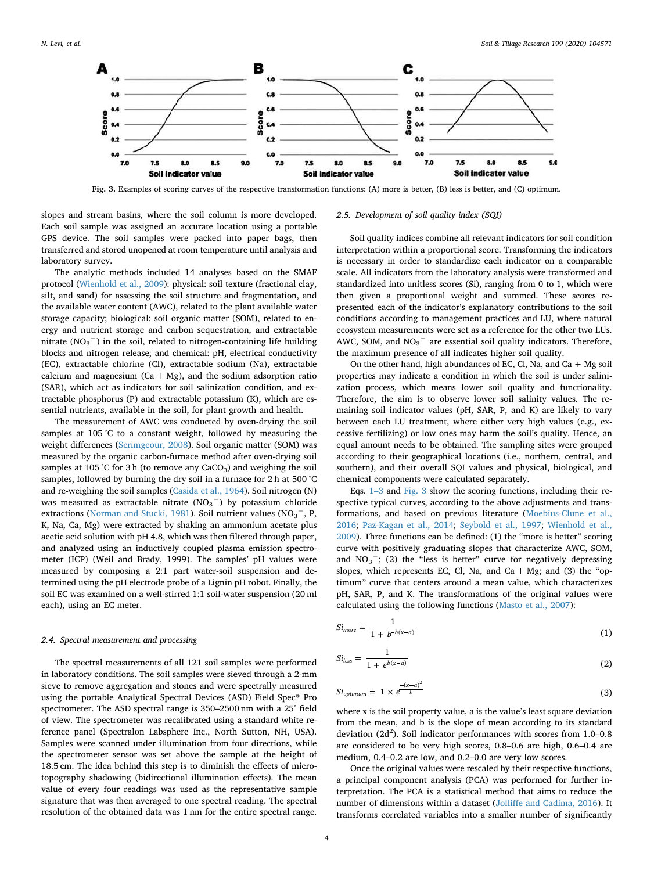<span id="page-3-1"></span>

**Fig. 3.** Examples of scoring curves of the respective transformation functions: (A) more is better, (B) less is better, and (C) optimum.

slopes and stream basins, where the soil column is more developed. Each soil sample was assigned an accurate location using a portable GPS device. The soil samples were packed into paper bags, then transferred and stored unopened at room temperature until analysis and laboratory survey.

The analytic methods included 14 analyses based on the SMAF protocol [\(Wienhold et al., 2009](#page-13-5)): physical: soil texture (fractional clay, silt, and sand) for assessing the soil structure and fragmentation, and the available water content (AWC), related to the plant available water storage capacity; biological: soil organic matter (SOM), related to energy and nutrient storage and carbon sequestration, and extractable nitrate  $(NO<sub>3</sub><sup>-</sup>)$  in the soil, related to nitrogen-containing life building blocks and nitrogen release; and chemical: pH, electrical conductivity (EC), extractable chlorine (Cl), extractable sodium (Na), extractable calcium and magnesium ( $Ca + Mg$ ), and the sodium adsorption ratio (SAR), which act as indicators for soil salinization condition, and extractable phosphorus (P) and extractable potassium (K), which are essential nutrients, available in the soil, for plant growth and health.

The measurement of AWC was conducted by oven-drying the soil samples at 105 °C to a constant weight, followed by measuring the weight differences [\(Scrimgeour, 2008](#page-13-22)). Soil organic matter (SOM) was measured by the organic carbon-furnace method after oven-drying soil samples at 105 °C for 3 h (to remove any  $CaCO<sub>3</sub>$ ) and weighing the soil samples, followed by burning the dry soil in a furnace for 2 h at 500 °C and re-weighing the soil samples ([Casida et al., 1964](#page-12-13)). Soil nitrogen (N) was measured as extractable nitrate  $(NO<sub>3</sub><sup>-</sup>)$  by potassium chloride extractions ([Norman and Stucki, 1981](#page-13-23)). Soil nutrient values ( $NO<sub>3</sub><sup>-</sup>$ , P, K, Na, Ca, Mg) were extracted by shaking an ammonium acetate plus acetic acid solution with pH 4.8, which was then filtered through paper, and analyzed using an inductively coupled plasma emission spectrometer (ICP) (Weil and Brady, 1999). The samples' pH values were measured by composing a 2:1 part water-soil suspension and determined using the pH electrode probe of a Lignin pH robot. Finally, the soil EC was examined on a well-stirred 1:1 soil-water suspension (20 ml each), using an EC meter.

## *2.4. Spectral measurement and processing*

The spectral measurements of all 121 soil samples were performed in laboratory conditions. The soil samples were sieved through a 2-mm sieve to remove aggregation and stones and were spectrally measured using the portable Analytical Spectral Devices (ASD) Field Spec® Pro spectrometer. The ASD spectral range is 350–2500 nm with a 25° field of view. The spectrometer was recalibrated using a standard white reference panel (Spectralon Labsphere Inc., North Sutton, NH, USA). Samples were scanned under illumination from four directions, while the spectrometer sensor was set above the sample at the height of 18.5 cm. The idea behind this step is to diminish the effects of microtopography shadowing (bidirectional illumination effects). The mean value of every four readings was used as the representative sample signature that was then averaged to one spectral reading. The spectral resolution of the obtained data was 1 nm for the entire spectral range.

#### *2.5. Development of soil quality index (SQI)*

Soil quality indices combine all relevant indicators for soil condition interpretation within a proportional score. Transforming the indicators is necessary in order to standardize each indicator on a comparable scale. All indicators from the laboratory analysis were transformed and standardized into unitless scores (Si), ranging from 0 to 1, which were then given a proportional weight and summed. These scores represented each of the indicator's explanatory contributions to the soil conditions according to management practices and LU, where natural ecosystem measurements were set as a reference for the other two LUs. AWC, SOM, and  $NO_3^-$  are essential soil quality indicators. Therefore, the maximum presence of all indicates higher soil quality.

On the other hand, high abundances of EC, Cl, Na, and Ca  $+$  Mg soil properties may indicate a condition in which the soil is under salinization process, which means lower soil quality and functionality. Therefore, the aim is to observe lower soil salinity values. The remaining soil indicator values (pH, SAR, P, and K) are likely to vary between each LU treatment, where either very high values (e.g., excessive fertilizing) or low ones may harm the soil's quality. Hence, an equal amount needs to be obtained. The sampling sites were grouped according to their geographical locations (i.e., northern, central, and southern), and their overall SQI values and physical, biological, and chemical components were calculated separately.

Eqs. [1–3](#page-3-0) and [Fig. 3](#page-3-1) show the scoring functions, including their respective typical curves, according to the above adjustments and transformations, and based on previous literature [\(Moebius-Clune et al.,](#page-13-6) [2016;](#page-13-6) [Paz-Kagan et al., 2014](#page-13-12); [Seybold et al., 1997](#page-13-24); [Wienhold et al.,](#page-13-5) [2009\)](#page-13-5). Three functions can be defined: (1) the "more is better" scoring curve with positively graduating slopes that characterize AWC, SOM, and  $NO<sub>3</sub><sup>-</sup>$ ; (2) the "less is better" curve for negatively depressing slopes, which represents EC, Cl, Na, and Ca + Mg; and (3) the "optimum" curve that centers around a mean value, which characterizes pH, SAR, P, and K. The transformations of the original values were calculated using the following functions ([Masto et al., 2007](#page-13-25)):

<span id="page-3-0"></span>
$$
Si_{more} = \frac{1}{1 + b^{-b(x-a)}}
$$
\n<sup>(1)</sup>

$$
Si_{less} = \frac{1}{1 + e^{b(x-a)}}\tag{2}
$$

$$
Si_{optimum} = 1 \times \frac{-(x-a)^2}{b} \tag{3}
$$

where x is the soil property value, a is the value's least square deviation from the mean, and b is the slope of mean according to its standard deviation (2d<sup>2</sup>). Soil indicator performances with scores from 1.0-0.8 are considered to be very high scores, 0.8–0.6 are high, 0.6–0.4 are medium, 0.4–0.2 are low, and 0.2–0.0 are very low scores.

Once the original values were rescaled by their respective functions, a principal component analysis (PCA) was performed for further interpretation. The PCA is a statistical method that aims to reduce the number of dimensions within a dataset ([Jolliffe and Cadima, 2016](#page-12-14)). It transforms correlated variables into a smaller number of significantly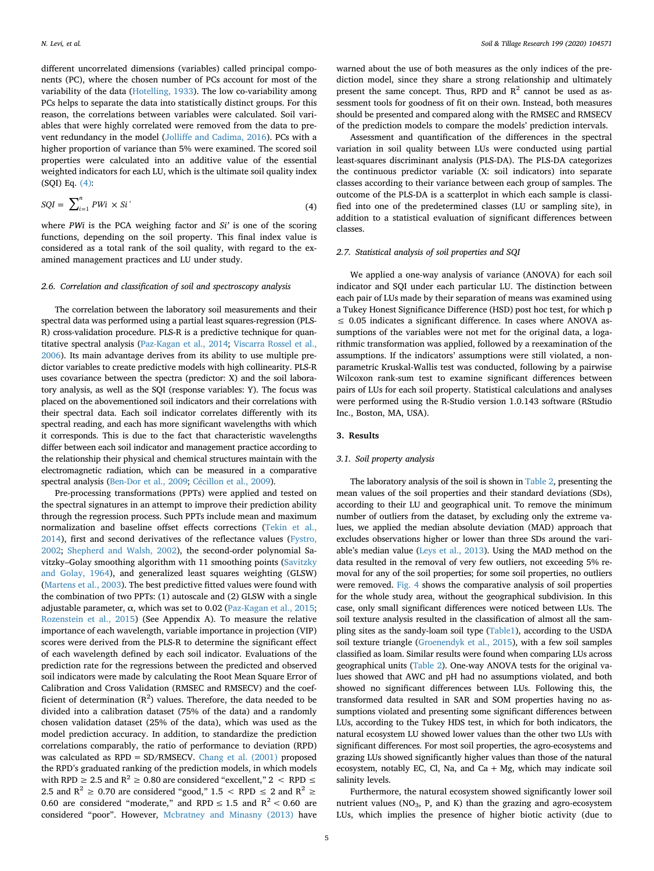different uncorrelated dimensions (variables) called principal components (PC), where the chosen number of PCs account for most of the variability of the data ([Hotelling, 1933](#page-12-15)). The low co-variability among PCs helps to separate the data into statistically distinct groups. For this reason, the correlations between variables were calculated. Soil variables that were highly correlated were removed from the data to prevent redundancy in the model ([Jolliffe and Cadima, 2016\)](#page-12-14). PCs with a higher proportion of variance than 5% were examined. The scored soil properties were calculated into an additive value of the essential weighted indicators for each LU, which is the ultimate soil quality index (SQI) Eq. [\(4\)](#page-4-0):

<span id="page-4-0"></span>
$$
SQL = \sum_{i=1}^{n} PWi \times Si' \tag{4}
$$

where *PWi* is the PCA weighing factor and *Si'* is one of the scoring functions, depending on the soil property. This final index value is considered as a total rank of the soil quality, with regard to the examined management practices and LU under study.

#### *2.6. Correlation and classification of soil and spectroscopy analysis*

The correlation between the laboratory soil measurements and their spectral data was performed using a partial least squares-regression (PLS-R) cross-validation procedure. PLS-R is a predictive technique for quantitative spectral analysis [\(Paz-Kagan et al., 2014;](#page-13-12) [Viscarra Rossel et al.,](#page-13-4) [2006](#page-13-4)). Its main advantage derives from its ability to use multiple predictor variables to create predictive models with high collinearity. PLS-R uses covariance between the spectra (predictor: X) and the soil laboratory analysis, as well as the SQI (response variables: Y). The focus was placed on the abovementioned soil indicators and their correlations with their spectral data. Each soil indicator correlates differently with its spectral reading, and each has more significant wavelengths with which it corresponds. This is due to the fact that characteristic wavelengths differ between each soil indicator and management practice according to the relationship their physical and chemical structures maintain with the electromagnetic radiation, which can be measured in a comparative spectral analysis [\(Ben-Dor et al., 2009;](#page-12-16) [Cécillon et al., 2009](#page-12-11)).

Pre-processing transformations (PPTs) were applied and tested on the spectral signatures in an attempt to improve their prediction ability through the regression process. Such PPTs include mean and maximum normalization and baseline offset effects corrections ([Tekin et al.,](#page-13-26) [2014\)](#page-13-26), first and second derivatives of the reflectance values ([Fystro,](#page-12-17) [2002;](#page-12-17) [Shepherd and Walsh, 2002\)](#page-13-27), the second-order polynomial Savitzky–Golay smoothing algorithm with 11 smoothing points ([Savitzky](#page-13-28) [and Golay, 1964\)](#page-13-28), and generalized least squares weighting (GLSW) ([Martens et al., 2003](#page-13-29)). The best predictive fitted values were found with the combination of two PPTs: (1) autoscale and (2) GLSW with a single adjustable parameter,  $α$ , which was set to 0.02 ([Paz-Kagan et al., 2015](#page-13-30); [Rozenstein et al., 2015\)](#page-13-31) (See Appendix A). To measure the relative importance of each wavelength, variable importance in projection (VIP) scores were derived from the PLS-R to determine the significant effect of each wavelength defined by each soil indicator. Evaluations of the prediction rate for the regressions between the predicted and observed soil indicators were made by calculating the Root Mean Square Error of Calibration and Cross Validation (RMSEC and RMSECV) and the coefficient of determination  $(R^2)$  values. Therefore, the data needed to be divided into a calibration dataset (75% of the data) and a randomly chosen validation dataset (25% of the data), which was used as the model prediction accuracy. In addition, to standardize the prediction correlations comparably, the ratio of performance to deviation (RPD) was calculated as RPD = SD/RMSECV. [Chang et al. \(2001\)](#page-12-18) proposed the RPD's graduated ranking of the prediction models, in which models with RPD  $\geq 2.5$  and R<sup>2</sup>  $\geq$  0.80 are considered "excellent," 2  $\leq$  RPD  $\leq$ 2.5 and R<sup>2</sup>  $\geq$  0.70 are considered "good," 1.5  $\leq$  RPD  $\leq$  2 and R<sup>2</sup>  $\geq$ 0.60 are considered "moderate," and RPD  $\leq$  1.5 and R<sup>2</sup> < 0.60 are considered "poor". However, [Mcbratney and Minasny \(2013\)](#page-13-32) have

warned about the use of both measures as the only indices of the prediction model, since they share a strong relationship and ultimately present the same concept. Thus, RPD and  $R^2$  cannot be used as assessment tools for goodness of fit on their own. Instead, both measures should be presented and compared along with the RMSEC and RMSECV of the prediction models to compare the models' prediction intervals.

Assessment and quantification of the differences in the spectral variation in soil quality between LUs were conducted using partial least-squares discriminant analysis (PLS-DA). The PLS-DA categorizes the continuous predictor variable (X: soil indicators) into separate classes according to their variance between each group of samples. The outcome of the PLS-DA is a scatterplot in which each sample is classified into one of the predetermined classes (LU or sampling site), in addition to a statistical evaluation of significant differences between classes.

## *2.7. Statistical analysis of soil properties and SQI*

We applied a one-way analysis of variance (ANOVA) for each soil indicator and SQI under each particular LU. The distinction between each pair of LUs made by their separation of means was examined using a Tukey Honest Significance Difference (HSD) post hoc test, for which p  $\leq$  0.05 indicates a significant difference. In cases where ANOVA assumptions of the variables were not met for the original data, a logarithmic transformation was applied, followed by a reexamination of the assumptions. If the indicators' assumptions were still violated, a nonparametric Kruskal-Wallis test was conducted, following by a pairwise Wilcoxon rank-sum test to examine significant differences between pairs of LUs for each soil property. Statistical calculations and analyses were performed using the R-Studio version 1.0.143 software (RStudio Inc., Boston, MA, USA).

## **3. Results**

## *3.1. Soil property analysis*

The laboratory analysis of the soil is shown in [Table 2](#page-5-0), presenting the mean values of the soil properties and their standard deviations (SDs), according to their LU and geographical unit. To remove the minimum number of outliers from the dataset, by excluding only the extreme values, we applied the median absolute deviation (MAD) approach that excludes observations higher or lower than three SDs around the variable's median value [\(Leys et al., 2013\)](#page-12-19). Using the MAD method on the data resulted in the removal of very few outliers, not exceeding 5% removal for any of the soil properties; for some soil properties, no outliers were removed. [Fig. 4](#page-6-0) shows the comparative analysis of soil properties for the whole study area, without the geographical subdivision. In this case, only small significant differences were noticed between LUs. The soil texture analysis resulted in the classification of almost all the sampling sites as the sandy-loam soil type ([Table1](#page-2-0)), according to the USDA soil texture triangle [\(Groenendyk et al., 2015\)](#page-12-20), with a few soil samples classified as loam. Similar results were found when comparing LUs across geographical units [\(Table 2](#page-5-0)). One-way ANOVA tests for the original values showed that AWC and pH had no assumptions violated, and both showed no significant differences between LUs. Following this, the transformed data resulted in SAR and SOM properties having no assumptions violated and presenting some significant differences between LUs, according to the Tukey HDS test, in which for both indicators, the natural ecosystem LU showed lower values than the other two LUs with significant differences. For most soil properties, the agro-ecosystems and grazing LUs showed significantly higher values than those of the natural ecosystem, notably EC, Cl, Na, and Ca  $+$  Mg, which may indicate soil salinity levels.

Furthermore, the natural ecosystem showed significantly lower soil nutrient values ( $NO<sub>3</sub>$ , P, and K) than the grazing and agro-ecosystem LUs, which implies the presence of higher biotic activity (due to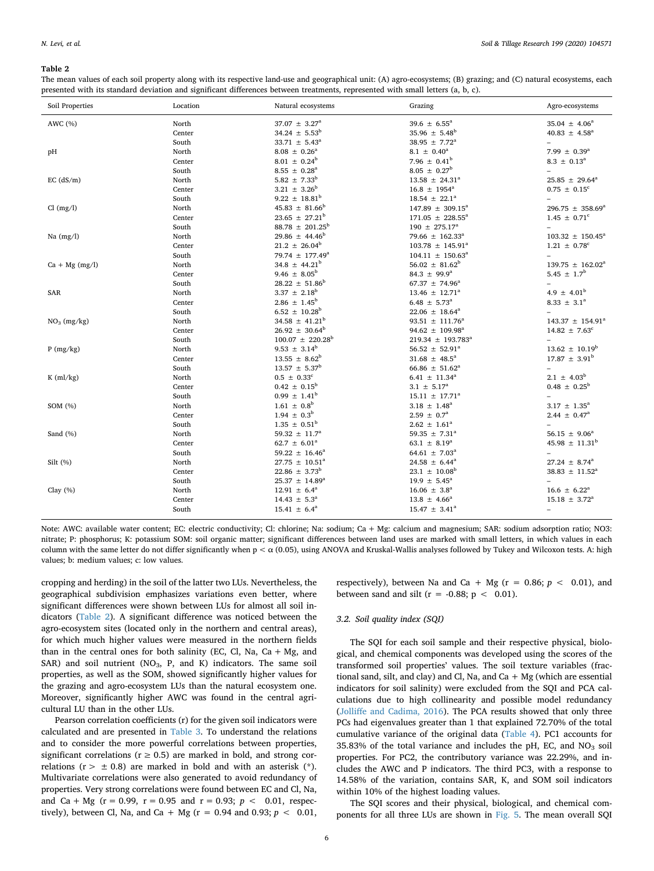<span id="page-5-0"></span>The mean values of each soil property along with its respective land-use and geographical unit: (A) agro-ecosystems; (B) grazing; and (C) natural ecosystems, each presented with its standard deviation and significant differences between treatments, represented with small letters (a, b, c).

| Soil Properties  | Location | Natural ecosystems              | Grazing                         | Agro-ecosystems                  |
|------------------|----------|---------------------------------|---------------------------------|----------------------------------|
| AWC (%)          | North    | $37.07 \pm 3.27^{\circ}$        | 39.6 $\pm$ 6.55 <sup>a</sup>    | $35.04 \pm 4.06^a$               |
|                  | Center   | $34.24 \pm 5.53^b$              | $35.96 \pm 5.48^b$              | $40.83 \pm 4.58^{\circ}$         |
|                  | South    | $33.71 \pm 5.43^a$              | 38.95 $\pm$ 7.72 <sup>a</sup>   |                                  |
| pН               | North    | $8.08 \pm 0.26^a$               | $8.1 \pm 0.40^a$                | 7.99 $\pm$ 0.39 <sup>a</sup>     |
|                  | Center   | $8.01 \pm 0.24^b$               | 7.96 $\pm$ 0.41 <sup>b</sup>    | $8.3 \pm 0.13^a$                 |
|                  | South    | $8.55 \pm 0.28^a$               | $8.05 \pm 0.27^{\rm b}$         |                                  |
| $EC$ (dS/m)      | North    | $5.82 \pm 7.33^b$               | $13.58 \pm 24.31^a$             | $25.85 \pm 29.64^a$              |
|                  | Center   | $3.21 \pm 3.26^b$               | $16.8 \pm 1954^{\circ}$         | $0.75 \pm 0.15^c$                |
|                  | South    | $9.22 \pm 18.81^b$              | $18.54 \pm 22.1^a$              |                                  |
| Cl (mg/l)        | North    | $45.83 \pm 81.66^b$             | $147.89 \pm 309.15^{\text{a}}$  | 296.75 $\pm$ 358.69 <sup>a</sup> |
|                  | Center   | $23.65 \pm 27.21^b$             | $171.05 \pm 228.55^a$           | $1.45 \pm 0.71$ <sup>c</sup>     |
|                  | South    | $88.78 \pm 201.25^b$            | $190 \pm 275.17^a$              |                                  |
| Na $(mg/l)$      | North    | $29.86 \pm 44.46^b$             | 79.66 $\pm$ 162.33 <sup>a</sup> | $103.32 \pm 150.45^{\circ}$      |
|                  | Center   | $21.2 \pm 26.04^b$              | $103.78 \pm 145.91^a$           | $1.21 \pm 0.78^c$                |
|                  | South    | 79.74 $\pm$ 177.49 <sup>a</sup> | $104.11 \pm 150.63^{\circ}$     | $\overline{\phantom{0}}$         |
| $Ca + Mg$ (mg/l) | North    | $34.8 \pm 44.21^b$              | $56.02 \pm 81.62^b$             | $139.75 \pm 162.02^a$            |
|                  | Center   | 9.46 $\pm$ 8.05 <sup>b</sup>    | 84.3 $\pm$ 99.9 <sup>a</sup>    | 5.45 $\pm$ 1.7 <sup>b</sup>      |
|                  | South    | $28.22 \pm 51.86^b$             | $67.37 \pm 74.96^a$             |                                  |
| SAR              | North    | $3.37 \pm 2.18^b$               | $13.46 \pm 12.71^a$             | 4.9 $\pm$ 4.01 <sup>b</sup>      |
|                  | Center   | $2.86 \pm 1.45^b$               | $6.48 \pm 5.73^{\circ}$         | $8.33 \pm 3.1^a$                 |
|                  | South    | $6.52 \pm 10.28^b$              | $22.06 \pm 18.64^a$             |                                  |
| $NO3$ (mg/kg)    | North    | 34.58 $\pm$ 41.21 <sup>b</sup>  | $93.51 \pm 111.76^a$            | $143.37 \pm 154.91^a$            |
|                  | Center   | $26.92 \pm 30.64^b$             | $94.62 \pm 109.98^{\text{a}}$   | $14.82 \pm 7.63^c$               |
|                  | South    | $100.07 \pm 220.28^{\rm b}$     | $219.34 \pm 193.783^a$          |                                  |
| P(mg/kg)         | North    | $9.53 \pm 3.14^b$               | $56.52 \pm 52.91^a$             | $13.62 \pm 10.19^b$              |
|                  | Center   | $13.55 \pm 8.62^b$              | $31.68 \pm 48.5^a$              | $17.87 \pm 3.91^{\rm b}$         |
|                  | South    | $13.57 \pm 5.37^{\rm b}$        | $66.86 \pm 51.62^a$             | $\overline{\phantom{0}}$         |
| $K$ (ml/kg)      | North    | $0.5~\pm~0.33^c$                | $6.41 \pm 11.34^a$              | $2.1 \pm 4.03^b$                 |
|                  | Center   | $0.42 \pm 0.15^b$               | $3.1 \pm 5.17^a$                | $0.48 \pm 0.25^b$                |
|                  | South    | $0.99 \pm 1.41^b$               | $15.11 \pm 17.71^a$             |                                  |
| SOM (%)          | North    | $1.61 \pm 0.8^b$                | $3.18 \pm 1.48^a$               | $3.17 \pm 1.35^a$                |
|                  | Center   | $1.94 \pm 0.3^{\rm b}$          | $2.59 \pm 0.7^{\rm a}$          | $2.44 \pm 0.47^{\text{a}}$       |
|                  | South    | $1.35 \pm 0.51^{\rm b}$         | $2.62 \pm 1.61^a$               |                                  |
| Sand (%)         | North    | 59.32 $\pm$ 11.7 <sup>a</sup>   | 59.35 $\pm$ 7.31 <sup>a</sup>   | $56.15 \pm 9.06^a$               |
|                  | Center   | 62.7 $\pm$ 6.01 <sup>a</sup>    | 63.1 $\pm$ 8.19 <sup>a</sup>    | $45.98 \pm 11.31^b$              |
|                  | South    | $59.22 \pm 16.46^a$             | 64.61 $\pm$ 7.03 <sup>a</sup>   |                                  |
| Silt $(\%)$      | North    | $27.75 \pm 10.51^a$             | $24.58 \pm 6.44^a$              | $27.24 \pm 8.74^a$               |
|                  | Center   | $22.86 \pm 3.73^b$              | $23.1 \pm 10.08^b$              | $38.83 \pm 11.52^a$              |
|                  | South    | $25.37 \pm 14.89^a$             | $19.9 \pm 5.45^{\circ}$         |                                  |
| Clay $(%)$       | North    | $12.91 \pm 6.4^a$               | $16.06 \pm 3.8^{\circ}$         | $16.6 \pm 6.22^a$                |
|                  | Center   | $14.43 \pm 5.3^{\circ}$         | $13.8 \pm 4.66^{\circ}$         | $15.18 \pm 3.72^a$               |
|                  | South    | $15.41 \pm 6.4^{\circ}$         | $15.47 \pm 3.41^{\circ}$        | ÷                                |

Note: AWC: available water content; EC: electric conductivity; Cl: chlorine; Na: sodium; Ca + Mg: calcium and magnesium; SAR: sodium adsorption ratio; NO3: nitrate; P: phosphorus; K: potassium SOM: soil organic matter; significant differences between land uses are marked with small letters, in which values in each column with the same letter do not differ significantly when  $p < \alpha$  (0.05), using ANOVA and Kruskal-Wallis analyses followed by Tukey and Wilcoxon tests. A: high values; b: medium values; c: low values.

cropping and herding) in the soil of the latter two LUs. Nevertheless, the geographical subdivision emphasizes variations even better, where significant differences were shown between LUs for almost all soil indicators [\(Table 2](#page-5-0)). A significant difference was noticed between the agro-ecosystem sites (located only in the northern and central areas), for which much higher values were measured in the northern fields than in the central ones for both salinity (EC, Cl, Na, Ca  $+$  Mg, and SAR) and soil nutrient ( $NO<sub>3</sub>$ , P, and K) indicators. The same soil properties, as well as the SOM, showed significantly higher values for the grazing and agro-ecosystem LUs than the natural ecosystem one. Moreover, significantly higher AWC was found in the central agricultural LU than in the other LUs.

Pearson correlation coefficients (r) for the given soil indicators were calculated and are presented in [Table 3.](#page-7-0) To understand the relations and to consider the more powerful correlations between properties, significant correlations ( $r \geq 0.5$ ) are marked in bold, and strong correlations ( $r > \pm 0.8$ ) are marked in bold and with an asterisk (\*). Multivariate correlations were also generated to avoid redundancy of properties. Very strong correlations were found between EC and Cl, Na, and Ca + Mg ( $r = 0.99$ ,  $r = 0.95$  and  $r = 0.93$ ;  $p < 0.01$ , respectively), between Cl, Na, and Ca + Mg ( $r = 0.94$  and 0.93;  $p < 0.01$ , respectively), between Na and Ca + Mg ( $r = 0.86$ ;  $p < 0.01$ ), and between sand and silt ( $r = -0.88$ ;  $p < 0.01$ ).

#### *3.2. Soil quality index (SQI)*

The SQI for each soil sample and their respective physical, biological, and chemical components was developed using the scores of the transformed soil properties' values. The soil texture variables (fractional sand, silt, and clay) and Cl, Na, and Ca  $+$  Mg (which are essential indicators for soil salinity) were excluded from the SQI and PCA calculations due to high collinearity and possible model redundancy ([Jolliffe and Cadima, 2016\)](#page-12-14). The PCA results showed that only three PCs had eigenvalues greater than 1 that explained 72.70% of the total cumulative variance of the original data ([Table 4](#page-7-1)). PC1 accounts for 35.83% of the total variance and includes the pH, EC, and  $NO<sub>3</sub>$  soil properties. For PC2, the contributory variance was 22.29%, and includes the AWC and P indicators. The third PC3, with a response to 14.58% of the variation, contains SAR, K, and SOM soil indicators within 10% of the highest loading values.

The SQI scores and their physical, biological, and chemical components for all three LUs are shown in [Fig. 5.](#page-8-0) The mean overall SQI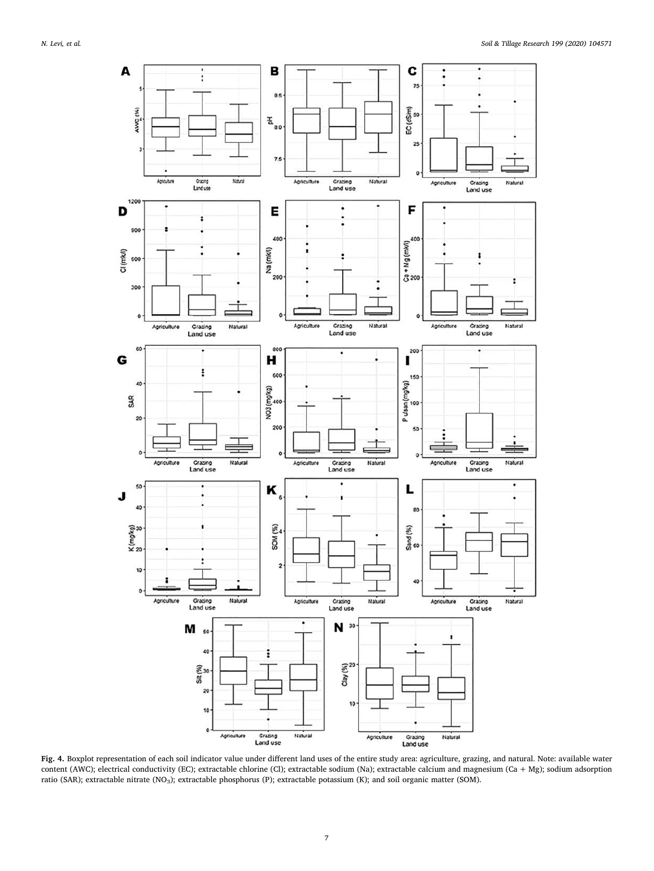<span id="page-6-0"></span>

**Fig. 4.** Boxplot representation of each soil indicator value under different land uses of the entire study area: agriculture, grazing, and natural. Note: available water content (AWC); electrical conductivity (EC); extractable chlorine (Cl); extractable sodium (Na); extractable calcium and magnesium (Ca + Mg); sodium adsorption ratio (SAR); extractable nitrate (NO<sub>3</sub>); extractable phosphorus (P); extractable potassium (K); and soil organic matter (SOM).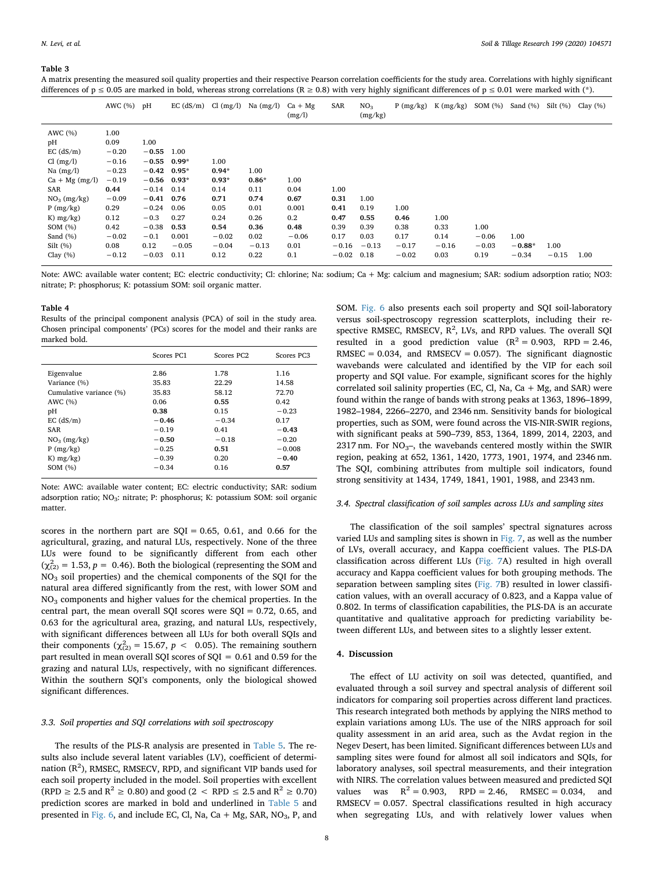<span id="page-7-0"></span>A matrix presenting the measured soil quality properties and their respective Pearson correlation coefficients for the study area. Correlations with highly significant differences of  $p \le 0.05$  are marked in bold, whereas strong correlations (R ≥ 0.8) with very highly significant differences of  $p \le 0.01$  were marked with (\*).

|                                                                            | AWC $(%)$ pH                                  |                                                     |                                            |                                            | EC $(dS/m)$ Cl $(mg/l)$ Na $(mg/l)$     | $Ca + Mg$<br>(mg/l)                   | SAR                                             | NO <sub>3</sub><br>(mg/kg)      |                                            | $P(mg/kg)$ K $(mg/kg)$                  | SOM(%)                             | Sand $(\% )$                | Silt(%)         | Clay $(\% )$ |
|----------------------------------------------------------------------------|-----------------------------------------------|-----------------------------------------------------|--------------------------------------------|--------------------------------------------|-----------------------------------------|---------------------------------------|-------------------------------------------------|---------------------------------|--------------------------------------------|-----------------------------------------|------------------------------------|-----------------------------|-----------------|--------------|
| AWC $(\% )$<br>рH<br>$EC$ (dS/m)<br>Cl (mg/l)                              | 1.00<br>0.09<br>$-0.20$<br>$-0.16$            | 1.00<br>$-0.55$<br>$-0.55$                          | 1.00<br>$0.99*$                            | 1.00                                       |                                         |                                       |                                                 |                                 |                                            |                                         |                                    |                             |                 |              |
| Na $(mg/l)$<br>$Ca + Mg (mg/l)$<br><b>SAR</b><br>$NO3$ (mg/kg)<br>P(mg/kg) | $-0.23$<br>$-0.19$<br>0.44<br>$-0.09$<br>0.29 | $-0.42$<br>$-0.56$<br>$-0.14$<br>$-0.41$<br>$-0.24$ | $0.95*$<br>$0.93*$<br>0.14<br>0.76<br>0.06 | $0.94*$<br>$0.93*$<br>0.14<br>0.71<br>0.05 | 1.00<br>$0.86*$<br>0.11<br>0.74<br>0.01 | 1.00<br>0.04<br>0.67<br>0.001         | 1.00<br>0.31<br>0.41                            | 1.00<br>0.19                    | 1.00                                       |                                         |                                    |                             |                 |              |
| K) $mg/kg$ )<br>SOM $(\%)$<br>Sand $(\% )$<br>$Silt(\%)$<br>Clay $(\%)$    | 0.12<br>0.42<br>$-0.02$<br>0.08<br>$-0.12$    | $-0.3$<br>$-0.38$<br>$-0.1$<br>0.12<br>$-0.03$      | 0.27<br>0.53<br>0.001<br>$-0.05$<br>0.11   | 0.24<br>0.54<br>$-0.02$<br>$-0.04$<br>0.12 | 0.26<br>0.36<br>0.02<br>$-0.13$<br>0.22 | 0.2<br>0.48<br>$-0.06$<br>0.01<br>0.1 | 0.47<br>0.39<br>0.17<br>$-0.16$<br>$-0.02$ 0.18 | 0.55<br>0.39<br>0.03<br>$-0.13$ | 0.46<br>0.38<br>0.17<br>$-0.17$<br>$-0.02$ | 1.00<br>0.33<br>0.14<br>$-0.16$<br>0.03 | 1.00<br>$-0.06$<br>$-0.03$<br>0.19 | 1.00<br>$-0.88*$<br>$-0.34$ | 1.00<br>$-0.15$ | 1.00         |

Note: AWC: available water content; EC: electric conductivity; Cl: chlorine; Na: sodium; Ca + Mg: calcium and magnesium; SAR: sodium adsorption ratio; NO3: nitrate; P: phosphorus; K: potassium SOM: soil organic matter.

#### <span id="page-7-1"></span>**Table 4**

Results of the principal component analysis (PCA) of soil in the study area. Chosen principal components' (PCs) scores for the model and their ranks are marked bold.

|                         | Scores PC1 | Scores PC <sub>2</sub> | Scores PC <sub>3</sub> |
|-------------------------|------------|------------------------|------------------------|
| Eigenvalue              | 2.86       | 1.78                   | 1.16                   |
| Variance (%)            | 35.83      | 22.29                  | 14.58                  |
| Cumulative variance (%) | 35.83      | 58.12                  | 72.70                  |
| AWC $(%)$               | 0.06       | 0.55                   | 0.42                   |
| pH                      | 0.38       | 0.15                   | $-0.23$                |
| $EC$ (dS/m)             | $-0.46$    | $-0.34$                | 0.17                   |
| <b>SAR</b>              | $-0.19$    | 0.41                   | $-0.43$                |
| $NO3$ (mg/kg)           | $-0.50$    | $-0.18$                | $-0.20$                |
| P(mg/kg)                | $-0.25$    | 0.51                   | $-0.008$               |
| K) $mg/kg$ )            | $-0.39$    | 0.20                   | $-0.40$                |
| SOM $(\%)$              | $-0.34$    | 0.16                   | 0.57                   |

Note: AWC: available water content; EC: electric conductivity; SAR: sodium adsorption ratio; NO<sub>3</sub>: nitrate; P: phosphorus; K: potassium SOM: soil organic matter.

scores in the northern part are  $SQL = 0.65, 0.61,$  and 0.66 for the agricultural, grazing, and natural LUs, respectively. None of the three LUs were found to be significantly different from each other  $(\chi^2_{(2)} = 1.53, p = 0.46)$ . Both the biological (representing the SOM and NO3 soil properties) and the chemical components of the SQI for the natural area differed significantly from the rest, with lower SOM and NO3 components and higher values for the chemical properties. In the central part, the mean overall SQI scores were  $SQI = 0.72$ , 0.65, and 0.63 for the agricultural area, grazing, and natural LUs, respectively, with significant differences between all LUs for both overall SQIs and their components ( $\chi^2_{(2)}$  = 15.67, *p* < 0.05). The remaining southern part resulted in mean overall SQI scores of  $SQL = 0.61$  and 0.59 for the grazing and natural LUs, respectively, with no significant differences. Within the southern SQI's components, only the biological showed significant differences.

## *3.3. Soil properties and SQI correlations with soil spectroscopy*

The results of the PLS-R analysis are presented in [Table 5.](#page-9-0) The results also include several latent variables (LV), coefficient of determination ( $\mathsf{R}^2$ ), RMSEC, RMSECV, RPD, and significant VIP bands used for each soil property included in the model. Soil properties with excellent  $(RPD \ge 2.5 \text{ and } R^2 \ge 0.80)$  and good (2 < RPD  $\le 2.5 \text{ and } R^2 \ge 0.70$ ) prediction scores are marked in bold and underlined in [Table 5](#page-9-0) and presented in [Fig. 6](#page-10-0), and include EC, Cl, Na, Ca + Mg, SAR,  $NO<sub>3</sub>$ , P, and

SOM. [Fig. 6](#page-10-0) also presents each soil property and SQI soil-laboratory versus soil-spectroscopy regression scatterplots, including their respective RMSEC, RMSECV,  $R^2$ , LVs, and RPD values. The overall SQI resulted in a good prediction value  $(R^2 = 0.903, RPD = 2.46,$ RMSEC =  $0.034$ , and RMSECV =  $0.057$ ). The significant diagnostic wavebands were calculated and identified by the VIP for each soil property and SQI value. For example, significant scores for the highly correlated soil salinity properties (EC, Cl, Na, Ca  $+$  Mg, and SAR) were found within the range of bands with strong peaks at 1363, 1896–1899, 1982–1984, 2266–2270, and 2346 nm. Sensitivity bands for biological properties, such as SOM, were found across the VIS-NIR-SWIR regions, with significant peaks at 590–739, 853, 1364, 1899, 2014, 2203, and 2317 nm. For  $NO<sub>3</sub>$ -, the wavebands centered mostly within the SWIR region, peaking at 652, 1361, 1420, 1773, 1901, 1974, and 2346 nm. The SQI, combining attributes from multiple soil indicators, found strong sensitivity at 1434, 1749, 1841, 1901, 1988, and 2343 nm.

#### *3.4. Spectral classification of soil samples across LUs and sampling sites*

The classification of the soil samples' spectral signatures across varied LUs and sampling sites is shown in [Fig. 7](#page-11-0), as well as the number of LVs, overall accuracy, and Kappa coefficient values. The PLS-DA classification across different LUs [\(Fig. 7A](#page-11-0)) resulted in high overall accuracy and Kappa coefficient values for both grouping methods. The separation between sampling sites [\(Fig. 7](#page-11-0)B) resulted in lower classification values, with an overall accuracy of 0.823, and a Kappa value of 0.802. In terms of classification capabilities, the PLS-DA is an accurate quantitative and qualitative approach for predicting variability between different LUs, and between sites to a slightly lesser extent.

#### **4. Discussion**

The effect of LU activity on soil was detected, quantified, and evaluated through a soil survey and spectral analysis of different soil indicators for comparing soil properties across different land practices. This research integrated both methods by applying the NIRS method to explain variations among LUs. The use of the NIRS approach for soil quality assessment in an arid area, such as the Avdat region in the Negev Desert, has been limited. Significant differences between LUs and sampling sites were found for almost all soil indicators and SQIs, for laboratory analyses, soil spectral measurements, and their integration with NIRS. The correlation values between measured and predicted SQI values was  $R^2 = 0.903$ , RPD = 2.46, RMSEC = 0.034, and  $RMSECV = 0.057$ . Spectral classifications resulted in high accuracy when segregating LUs, and with relatively lower values when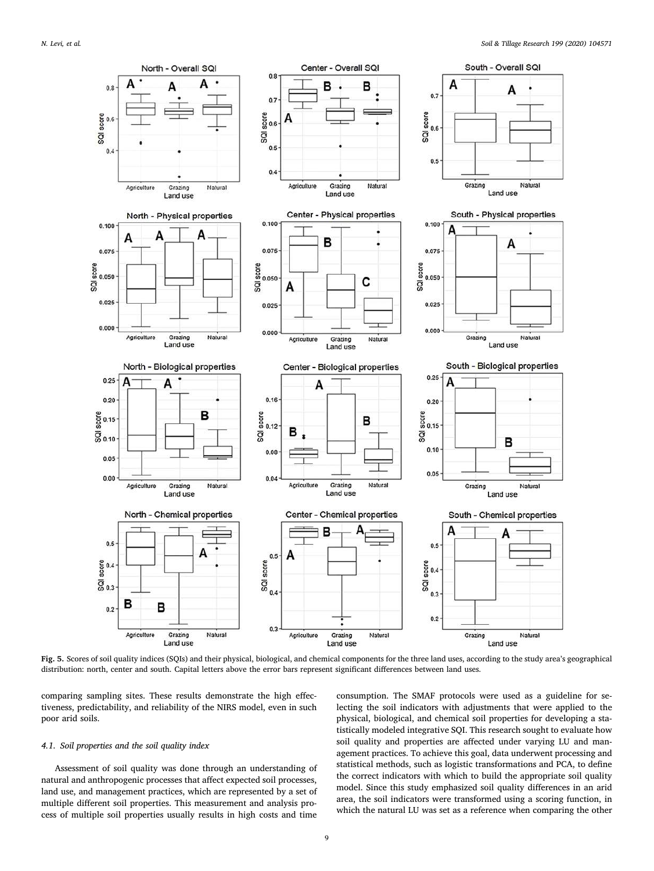<span id="page-8-0"></span>

**Fig. 5.** Scores of soil quality indices (SQIs) and their physical, biological, and chemical components for the three land uses, according to the study area's geographical distribution: north, center and south. Capital letters above the error bars represent significant differences between land uses.

comparing sampling sites. These results demonstrate the high effectiveness, predictability, and reliability of the NIRS model, even in such poor arid soils.

## *4.1. Soil properties and the soil quality index*

Assessment of soil quality was done through an understanding of natural and anthropogenic processes that affect expected soil processes, land use, and management practices, which are represented by a set of multiple different soil properties. This measurement and analysis process of multiple soil properties usually results in high costs and time consumption. The SMAF protocols were used as a guideline for selecting the soil indicators with adjustments that were applied to the physical, biological, and chemical soil properties for developing a statistically modeled integrative SQI. This research sought to evaluate how soil quality and properties are affected under varying LU and management practices. To achieve this goal, data underwent processing and statistical methods, such as logistic transformations and PCA, to define the correct indicators with which to build the appropriate soil quality model. Since this study emphasized soil quality differences in an arid area, the soil indicators were transformed using a scoring function, in which the natural LU was set as a reference when comparing the other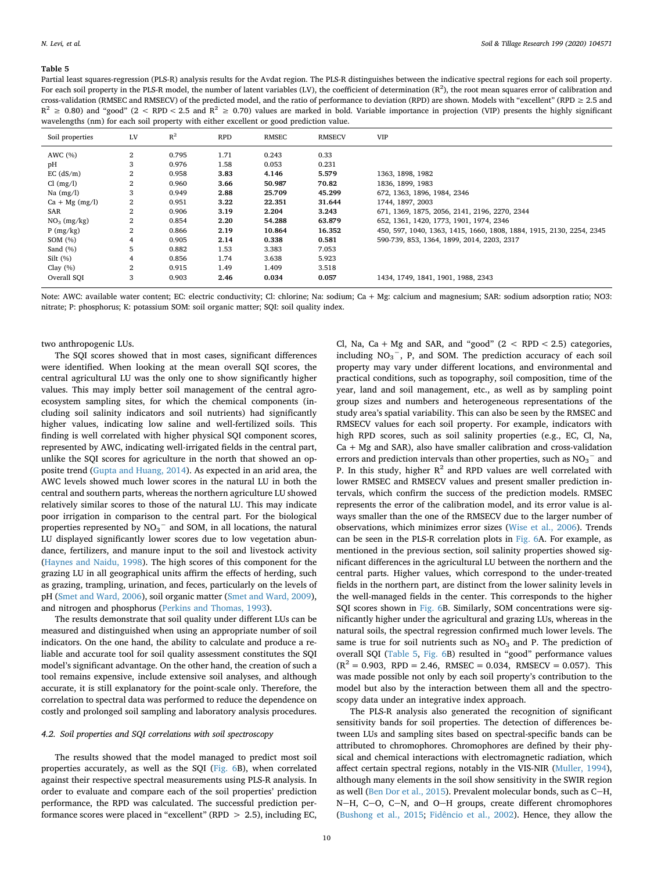<span id="page-9-0"></span>Partial least squares-regression (PLS-R) analysis results for the Avdat region. The PLS-R distinguishes between the indicative spectral regions for each soil property. For each soil property in the PLS-R model, the number of latent variables (LV), the coefficient of determination  $(R^2)$ , the root mean squares error of calibration and cross-validation (RMSEC and RMSECV) of the predicted model, and the ratio of performance to deviation (RPD) are shown. Models with "excellent" (RPD  $\geq$  2.5 and  $R^2 \ge 0.80$ ) and "good" (2 < RPD < 2.5 and  $R^2 \ge 0.70$ ) values are marked in bold. Variable importance in projection (VIP) presents the highly significant wavelengths (nm) for each soil property with either excellent or good prediction value.

| Soil properties  | LV             | $R^2$ | <b>RPD</b> | RMSEC  | <b>RMSECV</b> | <b>VIP</b>                                                           |
|------------------|----------------|-------|------------|--------|---------------|----------------------------------------------------------------------|
| AWC (%)          | $^{2}$         | 0.795 | 1.71       | 0.243  | 0.33          |                                                                      |
| рH               | 3              | 0.976 | 1.58       | 0.053  | 0.231         |                                                                      |
| $EC$ (dS/m)      | $^{2}$         | 0.958 | 3.83       | 4.146  | 5.579         | 1363, 1898, 1982                                                     |
| Cl (mg/l)        | $\overline{2}$ | 0.960 | 3.66       | 50.987 | 70.82         | 1836, 1899, 1983                                                     |
| Na $(mg/l)$      | 3              | 0.949 | 2.88       | 25.709 | 45.299        | 672, 1363, 1896, 1984, 2346                                          |
| $Ca + Mg$ (mg/l) | 2              | 0.951 | 3.22       | 22.351 | 31.644        | 1744, 1897, 2003                                                     |
| SAR              | $\overline{2}$ | 0.906 | 3.19       | 2.204  | 3.243         | 671, 1369, 1875, 2056, 2141, 2196, 2270, 2344                        |
| $NO3$ (mg/kg)    | $\overline{2}$ | 0.854 | 2.20       | 54.288 | 63.879        | 652, 1361, 1420, 1773, 1901, 1974, 2346                              |
| P(mg/kg)         | $\overline{2}$ | 0.866 | 2.19       | 10.864 | 16.352        | 450, 597, 1040, 1363, 1415, 1660, 1808, 1884, 1915, 2130, 2254, 2345 |
| SOM $(\%)$       | 4              | 0.905 | 2.14       | 0.338  | 0.581         | 590-739, 853, 1364, 1899, 2014, 2203, 2317                           |
| Sand $(\% )$     | 5              | 0.882 | 1.53       | 3.383  | 7.053         |                                                                      |
| Silt(%)          | 4              | 0.856 | 1.74       | 3.638  | 5.923         |                                                                      |
| Clay $(\% )$     | 2              | 0.915 | 1.49       | 1.409  | 3.518         |                                                                      |
| Overall SQI      | 3              | 0.903 | 2.46       | 0.034  | 0.057         | 1434, 1749, 1841, 1901, 1988, 2343                                   |

Note: AWC: available water content; EC: electric conductivity; Cl: chlorine; Na: sodium; Ca + Mg: calcium and magnesium; SAR: sodium adsorption ratio; NO3: nitrate; P: phosphorus; K: potassium SOM: soil organic matter; SQI: soil quality index.

#### two anthropogenic LUs.

The SQI scores showed that in most cases, significant differences were identified. When looking at the mean overall SQI scores, the central agricultural LU was the only one to show significantly higher values. This may imply better soil management of the central agroecosystem sampling sites, for which the chemical components (including soil salinity indicators and soil nutrients) had significantly higher values, indicating low saline and well-fertilized soils. This finding is well correlated with higher physical SQI component scores, represented by AWC, indicating well-irrigated fields in the central part, unlike the SQI scores for agriculture in the north that showed an opposite trend ([Gupta and Huang, 2014\)](#page-12-21). As expected in an arid area, the AWC levels showed much lower scores in the natural LU in both the central and southern parts, whereas the northern agriculture LU showed relatively similar scores to those of the natural LU. This may indicate poor irrigation in comparison to the central part. For the biological properties represented by  $NO_3^-$  and SOM, in all locations, the natural LU displayed significantly lower scores due to low vegetation abundance, fertilizers, and manure input to the soil and livestock activity ([Haynes and Naidu, 1998\)](#page-12-22). The high scores of this component for the grazing LU in all geographical units affirm the effects of herding, such as grazing, trampling, urination, and feces, particularly on the levels of pH [\(Smet and Ward, 2006](#page-13-33)), soil organic matter [\(Smet and Ward, 2009](#page-13-34)), and nitrogen and phosphorus ([Perkins and Thomas, 1993\)](#page-13-35).

The results demonstrate that soil quality under different LUs can be measured and distinguished when using an appropriate number of soil indicators. On the one hand, the ability to calculate and produce a reliable and accurate tool for soil quality assessment constitutes the SQI model's significant advantage. On the other hand, the creation of such a tool remains expensive, include extensive soil analyses, and although accurate, it is still explanatory for the point-scale only. Therefore, the correlation to spectral data was performed to reduce the dependence on costly and prolonged soil sampling and laboratory analysis procedures.

## *4.2. Soil properties and SQI correlations with soil spectroscopy*

The results showed that the model managed to predict most soil properties accurately, as well as the SQI ([Fig. 6](#page-10-0)B), when correlated against their respective spectral measurements using PLS-R analysis. In order to evaluate and compare each of the soil properties' prediction performance, the RPD was calculated. The successful prediction performance scores were placed in "excellent" (RPD > 2.5), including EC,

Cl, Na, Ca + Mg and SAR, and "good"  $(2 < RPD < 2.5)$  categories, including  $NO<sub>3</sub><sup>-</sup>$ , P, and SOM. The prediction accuracy of each soil property may vary under different locations, and environmental and practical conditions, such as topography, soil composition, time of the year, land and soil management, etc., as well as by sampling point group sizes and numbers and heterogeneous representations of the study area's spatial variability. This can also be seen by the RMSEC and RMSECV values for each soil property. For example, indicators with high RPD scores, such as soil salinity properties (e.g., EC, Cl, Na,  $Ca + Mg$  and SAR), also have smaller calibration and cross-validation errors and prediction intervals than other properties, such as  $\mathrm{NO_3}^-$  and P. In this study, higher  $R^2$  and RPD values are well correlated with lower RMSEC and RMSECV values and present smaller prediction intervals, which confirm the success of the prediction models. RMSEC represents the error of the calibration model, and its error value is always smaller than the one of the RMSECV due to the larger number of observations, which minimizes error sizes [\(Wise et al., 2006](#page-13-36)). Trends can be seen in the PLS-R correlation plots in [Fig. 6A](#page-10-0). For example, as mentioned in the previous section, soil salinity properties showed significant differences in the agricultural LU between the northern and the central parts. Higher values, which correspond to the under-treated fields in the northern part, are distinct from the lower salinity levels in the well-managed fields in the center. This corresponds to the higher SQI scores shown in [Fig. 6](#page-10-0)B. Similarly, SOM concentrations were significantly higher under the agricultural and grazing LUs, whereas in the natural soils, the spectral regression confirmed much lower levels. The same is true for soil nutrients such as  $NO<sub>3</sub>$  and P. The prediction of overall SQI [\(Table 5,](#page-9-0) [Fig. 6B](#page-10-0)) resulted in "good" performance values  $(R^2 = 0.903, RPD = 2.46, RMSEC = 0.034, RMSECV = 0.057).$  This was made possible not only by each soil property's contribution to the model but also by the interaction between them all and the spectroscopy data under an integrative index approach.

The PLS-R analysis also generated the recognition of significant sensitivity bands for soil properties. The detection of differences between LUs and sampling sites based on spectral-specific bands can be attributed to chromophores. Chromophores are defined by their physical and chemical interactions with electromagnetic radiation, which affect certain spectral regions, notably in the VIS-NIR ([Muller, 1994](#page-13-37)), although many elements in the soil show sensitivity in the SWIR region as well ([Ben Dor et al., 2015\)](#page-12-23). Prevalent molecular bonds, such as  $C-H$ , N-H, C-O, C-N, and O-H groups, create different chromophores ([Bushong et al., 2015;](#page-12-24) [Fidêncio et al., 2002\)](#page-12-25). Hence, they allow the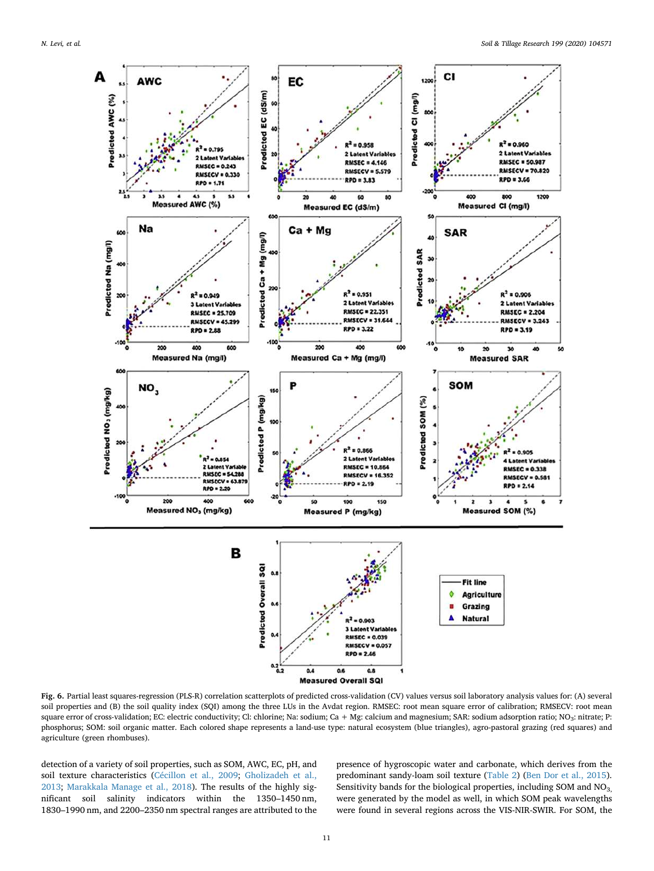<span id="page-10-0"></span>

**Fig. 6.** Partial least squares-regression (PLS-R) correlation scatterplots of predicted cross-validation (CV) values versus soil laboratory analysis values for: (A) several soil properties and (B) the soil quality index (SOI) among the three LUs in the Avdat region. RMSEC: root mean square error of calibration; RMSECV: root mean square error of cross-validation; EC: electric conductivity; Cl: chlorine; Na: sodium; Ca + Mg: calcium and magnesium; SAR: sodium adsorption ratio; NO<sub>3</sub>: nitrate; P: phosphorus; SOM: soil organic matter. Each colored shape represents a land-use type: natural ecosystem (blue triangles), agro-pastoral grazing (red squares) and agriculture (green rhombuses).

detection of a variety of soil properties, such as SOM, AWC, EC, pH, and soil texture characteristics ([Cécillon et al., 2009;](#page-12-11) [Gholizadeh et al.,](#page-12-26) [2013;](#page-12-26) [Marakkala Manage et al., 2018\)](#page-13-38). The results of the highly significant soil salinity indicators within the 1350–1450 nm, 1830–1990 nm, and 2200–2350 nm spectral ranges are attributed to the presence of hygroscopic water and carbonate, which derives from the predominant sandy-loam soil texture ([Table 2\)](#page-5-0) ([Ben Dor et al., 2015](#page-12-23)). Sensitivity bands for the biological properties, including SOM and NO<sub>3,</sub> were generated by the model as well, in which SOM peak wavelengths were found in several regions across the VIS-NIR-SWIR. For SOM, the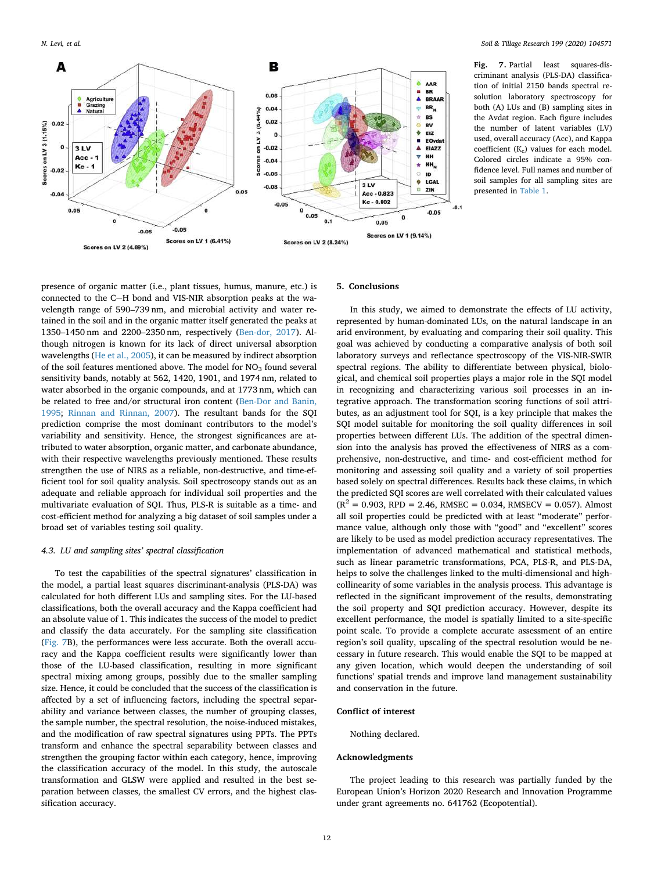<span id="page-11-0"></span>

Fig. 7. Partial least squares-discriminant analysis (PLS-DA) classification of initial 2150 bands spectral resolution laboratory spectroscopy for both (A) LUs and (B) sampling sites in the Avdat region. Each figure includes the number of latent variables (LV) used, overall accuracy (Acc), and Kappa coefficient (K<sub>c</sub>) values for each model. Colored circles indicate a 95% confidence level. Full names and number of soil samples for all sampling sites are presented in [Table 1.](#page-2-0)

presence of organic matter (i.e., plant tissues, humus, manure, etc.) is connected to the C-H bond and VIS-NIR absorption peaks at the wavelength range of 590–739 nm, and microbial activity and water retained in the soil and in the organic matter itself generated the peaks at 1350–1450 nm and 2200–2350 nm, respectively ([Ben-dor, 2017\)](#page-12-27). Although nitrogen is known for its lack of direct universal absorption wavelengths [\(He et al., 2005](#page-12-28)), it can be measured by indirect absorption of the soil features mentioned above. The model for  $NO<sub>3</sub>$  found several sensitivity bands, notably at 562, 1420, 1901, and 1974 nm, related to water absorbed in the organic compounds, and at 1773 nm, which can be related to free and/or structural iron content [\(Ben-Dor and Banin,](#page-12-29) [1995;](#page-12-29) [Rinnan and Rinnan, 2007\)](#page-13-39). The resultant bands for the SQI prediction comprise the most dominant contributors to the model's variability and sensitivity. Hence, the strongest significances are attributed to water absorption, organic matter, and carbonate abundance, with their respective wavelengths previously mentioned. These results strengthen the use of NIRS as a reliable, non-destructive, and time-efficient tool for soil quality analysis. Soil spectroscopy stands out as an adequate and reliable approach for individual soil properties and the multivariate evaluation of SQI. Thus, PLS-R is suitable as a time- and cost-efficient method for analyzing a big dataset of soil samples under a broad set of variables testing soil quality.

## *4.3. LU and sampling sites' spectral classification*

To test the capabilities of the spectral signatures' classification in the model, a partial least squares discriminant-analysis (PLS-DA) was calculated for both different LUs and sampling sites. For the LU-based classifications, both the overall accuracy and the Kappa coefficient had an absolute value of 1. This indicates the success of the model to predict and classify the data accurately. For the sampling site classification ([Fig. 7](#page-11-0)B), the performances were less accurate. Both the overall accuracy and the Kappa coefficient results were significantly lower than those of the LU-based classification, resulting in more significant spectral mixing among groups, possibly due to the smaller sampling size. Hence, it could be concluded that the success of the classification is affected by a set of influencing factors, including the spectral separability and variance between classes, the number of grouping classes, the sample number, the spectral resolution, the noise-induced mistakes, and the modification of raw spectral signatures using PPTs. The PPTs transform and enhance the spectral separability between classes and strengthen the grouping factor within each category, hence, improving the classification accuracy of the model. In this study, the autoscale transformation and GLSW were applied and resulted in the best separation between classes, the smallest CV errors, and the highest classification accuracy.

## **5. Conclusions**

In this study, we aimed to demonstrate the effects of LU activity, represented by human-dominated LUs, on the natural landscape in an arid environment, by evaluating and comparing their soil quality. This goal was achieved by conducting a comparative analysis of both soil laboratory surveys and reflectance spectroscopy of the VIS-NIR-SWIR spectral regions. The ability to differentiate between physical, biological, and chemical soil properties plays a major role in the SQI model in recognizing and characterizing various soil processes in an integrative approach. The transformation scoring functions of soil attributes, as an adjustment tool for SQI, is a key principle that makes the SQI model suitable for monitoring the soil quality differences in soil properties between different LUs. The addition of the spectral dimension into the analysis has proved the effectiveness of NIRS as a comprehensive, non-destructive, and time- and cost-efficient method for monitoring and assessing soil quality and a variety of soil properties based solely on spectral differences. Results back these claims, in which the predicted SQI scores are well correlated with their calculated values  $(R^{2} = 0.903, RPD = 2.46, RMSEC = 0.034, RMSECV = 0.057)$ . Almost all soil properties could be predicted with at least "moderate" performance value, although only those with "good" and "excellent" scores are likely to be used as model prediction accuracy representatives. The implementation of advanced mathematical and statistical methods, such as linear parametric transformations, PCA, PLS-R, and PLS-DA, helps to solve the challenges linked to the multi-dimensional and highcollinearity of some variables in the analysis process. This advantage is reflected in the significant improvement of the results, demonstrating the soil property and SQI prediction accuracy. However, despite its excellent performance, the model is spatially limited to a site-specific point scale. To provide a complete accurate assessment of an entire region's soil quality, upscaling of the spectral resolution would be necessary in future research. This would enable the SQI to be mapped at any given location, which would deepen the understanding of soil functions' spatial trends and improve land management sustainability and conservation in the future.

## **Conflict of interest**

Nothing declared.

#### **Acknowledgments**

The project leading to this research was partially funded by the European Union's Horizon 2020 Research and Innovation Programme under grant agreements no. 641762 (Ecopotential).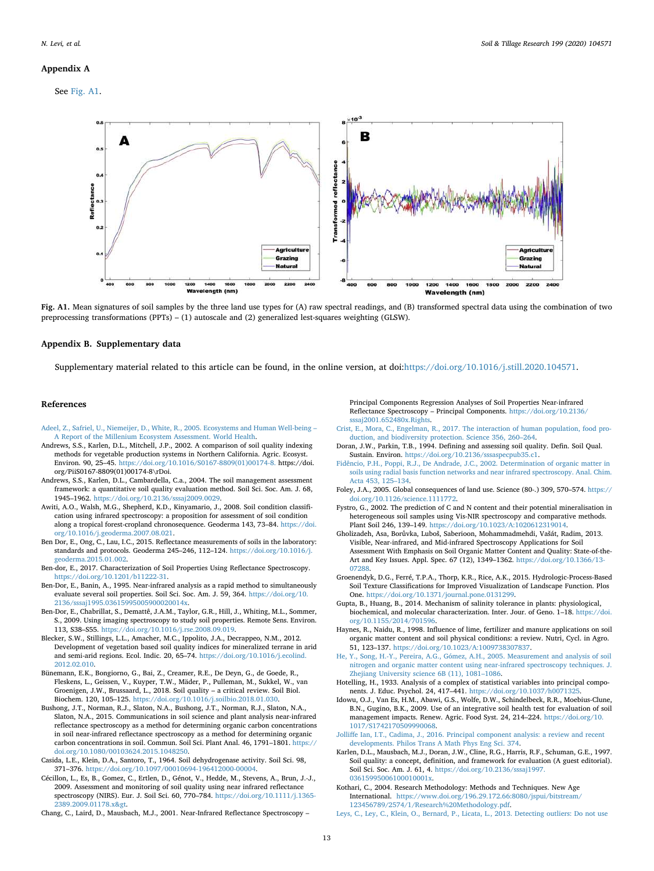#### **Appendix A**

<span id="page-12-30"></span>See [Fig. A1](#page-12-30).



**Fig. A1.** Mean signatures of soil samples by the three land use types for (A) raw spectral readings, and (B) transformed spectral data using the combination of two preprocessing transformations (PPTs) – (1) autoscale and (2) generalized lest-squares weighting (GLSW).

## **Appendix B. Supplementary data**

Supplementary material related to this article can be found, in the online version, at doi[:https://doi.org/10.1016/j.still.2020.104571.](https://doi.org/10.1016/j.still.2020.104571)

#### **References**

- <span id="page-12-2"></span>[Adeel, Z., Safriel, U., Niemeijer, D., White, R., 2005. Ecosystems and Human Well-being –](http://refhub.elsevier.com/S0167-1987(19)30821-9/sbref0005) [A Report of the Millenium Ecosystem Assessment. World Health.](http://refhub.elsevier.com/S0167-1987(19)30821-9/sbref0005)
- <span id="page-12-8"></span>Andrews, S.S., Karlen, D.L., Mitchell, J.P., 2002. A comparison of soil quality indexing methods for vegetable production systems in Northern California. Agric. Ecosyst. Environ. 90, 25–45. [https://doi.org/10.1016/S0167-8809\(01\)00174-8.](https://doi.org/10.1016/S0167-8809(01)00174-8) https://doi. [org/PiiS0167-8809\(01\)00174-8\rDoi.](https://doi.org/10.1016/S0167-8809(01)00174-8)
- <span id="page-12-3"></span>Andrews, S.S., Karlen, D.L., Cambardella, C.a., 2004. The soil management assessment framework: a quantitative soil quality evaluation method. Soil Sci. Soc. Am. J. 68, 1945–1962. <https://doi.org/10.2136/sssaj2009.0029>.
- <span id="page-12-10"></span>Awiti, A.O., Walsh, M.G., Shepherd, K.D., Kinyamario, J., 2008. Soil condition classification using infrared spectroscopy: a proposition for assessment of soil condition along a tropical forest-cropland chronosequence. Geoderma 143, 73–84. [https://doi.](https://doi.org/10.1016/j.geoderma.2007.08.021) [org/10.1016/j.geoderma.2007.08.021.](https://doi.org/10.1016/j.geoderma.2007.08.021)
- <span id="page-12-23"></span>Ben Dor, E., Ong, C., Lau, I.C., 2015. Reflectance measurements of soils in the laboratory: standards and protocols. Geoderma 245–246, 112–124. [https://doi.org/10.1016/j.](https://doi.org/10.1016/j.geoderma.2015.01.002) [geoderma.2015.01.002](https://doi.org/10.1016/j.geoderma.2015.01.002).
- <span id="page-12-27"></span>Ben-dor, E., 2017. Characterization of Soil Properties Using Reflectance Spectroscopy. <https://doi.org/10.1201/b11222-31>.
- <span id="page-12-29"></span>Ben-Dor, E., Banin, A., 1995. Near-infrared analysis as a rapid method to simultaneously evaluate several soil properties. Soil Sci. Soc. Am. J. 59, 364. [https://doi.org/10.](https://doi.org/10.2136/sssaj1995.03615995005900020014x) [2136/sssaj1995.03615995005900020014x.](https://doi.org/10.2136/sssaj1995.03615995005900020014x)
- <span id="page-12-16"></span>Ben-Dor, E., Chabrillat, S., Demattê, J.A.M., Taylor, G.R., Hill, J., Whiting, M.L., Sommer, S., 2009. Using imaging spectroscopy to study soil properties. Remote Sens. Environ. 113, S38–S55. [https://doi.org/10.1016/j.rse.2008.09.019.](https://doi.org/10.1016/j.rse.2008.09.019)
- <span id="page-12-9"></span>Blecker, S.W., Stillings, L.L., Amacher, M.C., Ippolito, J.A., Decrappeo, N.M., 2012. Development of vegetation based soil quality indices for mineralized terrane in arid and semi-arid regions. Ecol. Indic. 20, 65–74. [https://doi.org/10.1016/j.ecolind.](https://doi.org/10.1016/j.ecolind.2012.02.010) [2012.02.010](https://doi.org/10.1016/j.ecolind.2012.02.010).
- <span id="page-12-4"></span>Bünemann, E.K., Bongiorno, G., Bai, Z., Creamer, R.E., De Deyn, G., de Goede, R., Fleskens, L., Geissen, V., Kuyper, T.W., Mäder, P., Pulleman, M., Sukkel, W., van Groenigen, J.W., Brussaard, L., 2018. Soil quality – a critical review. Soil Biol. Biochem. 120, 105–125. <https://doi.org/10.1016/j.soilbio.2018.01.030>.
- <span id="page-12-24"></span>Bushong, J.T., Norman, R.J., Slaton, N.A., Bushong, J.T., Norman, R.J., Slaton, N.A., Slaton, N.A., 2015. Communications in soil science and plant analysis near-infrared reflectance spectroscopy as a method for determining organic carbon concentrations in soil near-infrared reflectance spectroscopy as a method for determining organic carbon concentrations in soil. Commun. Soil Sci. Plant Anal. 46, 1791–1801. [https://](https://doi.org/10.1080/00103624.2015.1048250) [doi.org/10.1080/00103624.2015.1048250.](https://doi.org/10.1080/00103624.2015.1048250)
- <span id="page-12-13"></span>Casida, L.E., Klein, D.A., Santoro, T., 1964. Soil dehydrogenase activity. Soil Sci. 98, 371–376. <https://doi.org/10.1097/00010694-196412000-00004>.
- <span id="page-12-11"></span>Cécillon, L., Es, B., Gomez, C., Ertlen, D., Génot, V., Hedde, M., Stevens, A., Brun, J.-J., 2009. Assessment and monitoring of soil quality using near infrared reflectance spectroscopy (NIRS). Eur. J. Soil Sci. 60, 770–784. [https://doi.org/10.1111/j.1365-](https://doi.org/10.1111/j.1365-2389.2009.01178.x>) [2389.2009.01178.x&gt.](https://doi.org/10.1111/j.1365-2389.2009.01178.x>)

<span id="page-12-18"></span>Chang, C., Laird, D., Mausbach, M.J., 2001. Near-Infrared Reflectance Spectroscopy –

Principal Components Regression Analyses of Soil Properties Near-infrared Reflectance Spectroscopy – Principal Components. [https://doi.org/10.2136/](https://doi.org/10.2136/sssaj2001.652480x.Rights) [sssaj2001.652480x.Rights.](https://doi.org/10.2136/sssaj2001.652480x.Rights)

- <span id="page-12-1"></span>[Crist, E., Mora, C., Engelman, R., 2017. The interaction of human population, food pro](http://refhub.elsevier.com/S0167-1987(19)30821-9/sbref0075)[duction, and biodiversity protection. Science 356, 260–264.](http://refhub.elsevier.com/S0167-1987(19)30821-9/sbref0075)
- <span id="page-12-5"></span>Doran, J.W., Parkin, T.B., 1994. Defining and assessing soil quality. Defin. Soil Qual. Sustain. Environ. <https://doi.org/10.2136/sssaspecpub35.c1>.
- <span id="page-12-25"></span>[Fidêncio, P.H., Poppi, R.J., De Andrade, J.C., 2002. Determination of organic matter in](http://refhub.elsevier.com/S0167-1987(19)30821-9/sbref0085) [soils using radial basis function networks and near infrared spectroscopy. Anal. Chim.](http://refhub.elsevier.com/S0167-1987(19)30821-9/sbref0085) [Acta 453, 125–134.](http://refhub.elsevier.com/S0167-1987(19)30821-9/sbref0085)
- <span id="page-12-0"></span>Foley, J.A., 2005. Global consequences of land use. Science (80-.) 309, 570–574. [https://](https://doi.org/10.1126/science.1111772) [doi.org/10.1126/science.1111772](https://doi.org/10.1126/science.1111772).
- <span id="page-12-17"></span>Fystro, G., 2002. The prediction of C and N content and their potential mineralisation in heterogeneous soil samples using Vis-NIR spectroscopy and comparative methods. Plant Soil 246, 139–149. [https://doi.org/10.1023/A:1020612319014.](https://doi.org/10.1023/A:1020612319014)
- <span id="page-12-26"></span>Gholizadeh, Asa, Borůvka, Luboš, Saberioon, Mohammadmehdi, Vašát, Radim, 2013. Visible, Near-infrared, and Mid-infrared Spectroscopy Applications for Soil Assessment With Emphasis on Soil Organic Matter Content and Quality: State-of-the-Art and Key Issues. Appl. Spec. 67 (12), 1349–1362. [https://doi.org/10.1366/13-](https://doi.org/10.1366/13-07288) [07288.](https://doi.org/10.1366/13-07288)
- <span id="page-12-20"></span>Groenendyk, D.G., Ferré, T.P.A., Thorp, K.R., Rice, A.K., 2015. Hydrologic-Process-Based Soil Texture Classifications for Improved Visualization of Landscape Function. Plos One. <https://doi.org/10.1371/journal.pone.0131299>.
- <span id="page-12-21"></span>Gupta, B., Huang, B., 2014. Mechanism of salinity tolerance in plants: physiological, biochemical, and molecular characterization. Inter. Jour. of Geno. 1–18. [https://doi.](https://doi.org/10.1155/2014/701596) [org/10.1155/2014/701596](https://doi.org/10.1155/2014/701596).
- <span id="page-12-22"></span>Haynes, R., Naidu, R., 1998. Influence of lime, fertilizer and manure applications on soil organic matter content and soil physical conditions: a review. Nutri, Cycl. in Agro. 51, 123–137. [https://doi.org/10.1023/A:1009738307837.](https://doi.org/10.1023/A:1009738307837)
- <span id="page-12-28"></span>[He, Y., Song, H.-Y., Pereira, A.G., Gómez, A.H., 2005. Measurement and analysis of soil](http://refhub.elsevier.com/S0167-1987(19)30821-9/sbref0120) [nitrogen and organic matter content using near-infrared spectroscopy techniques. J.](http://refhub.elsevier.com/S0167-1987(19)30821-9/sbref0120) [Zhejiang University science 6B \(11\), 1081–1086](http://refhub.elsevier.com/S0167-1987(19)30821-9/sbref0120).
- <span id="page-12-15"></span>Hotelling, H., 1933. Analysis of a complex of statistical variables into principal components. J. Educ. Psychol. 24, 417-441. https://doi.org/10.1037/h007132.
- <span id="page-12-6"></span>Idowu, O.J., Van Es, H.M., Abawi, G.S., Wolfe, D.W., Schindelbeck, R.R., Moebius-Clune, B.N., Gugino, B.K., 2009. Use of an integrative soil health test for evaluation of soil management impacts. Renew. Agric. Food Syst. 24, 214–224. [https://doi.org/10.](https://doi.org/10.1017/S1742170509990068) [1017/S1742170509990068.](https://doi.org/10.1017/S1742170509990068)

<span id="page-12-14"></span>[Jolliffe Ian, I.T., Cadima, J., 2016. Principal component analysis: a review and recent](http://refhub.elsevier.com/S0167-1987(19)30821-9/sbref0135) [developments. Philos Trans A Math Phys Eng Sci. 374.](http://refhub.elsevier.com/S0167-1987(19)30821-9/sbref0135)

- <span id="page-12-7"></span>Karlen, D.L., Mausbach, M.J., Doran, J.W., Cline, R.G., Harris, R.F., Schuman, G.E., 1997. Soil quality: a concept, definition, and framework for evaluation (A guest editorial). Soil Sci. Soc. Am. J. 61, 4. [https://doi.org/10.2136/sssaj1997.](https://doi.org/10.2136/sssaj1997.03615995006100010001x) [03615995006100010001x.](https://doi.org/10.2136/sssaj1997.03615995006100010001x)
- <span id="page-12-12"></span>Kothari, C., 2004. Research Methodology: Methods and Techniques. New Age International. [https://www.doi.org/196.29.172.66:8080/jspui/bitstream/](https://www.doi.org/196.29.172.66:8080/jspui/bitstream/123456789/2574/1/Research%20Methodology.pdf) [123456789/2574/1/Research%20Methodology.pdf](https://www.doi.org/196.29.172.66:8080/jspui/bitstream/123456789/2574/1/Research%20Methodology.pdf).
- <span id="page-12-19"></span>[Leys, C., Ley, C., Klein, O., Bernard, P., Licata, L., 2013. Detecting outliers: Do not use](http://refhub.elsevier.com/S0167-1987(19)30821-9/sbref0150)